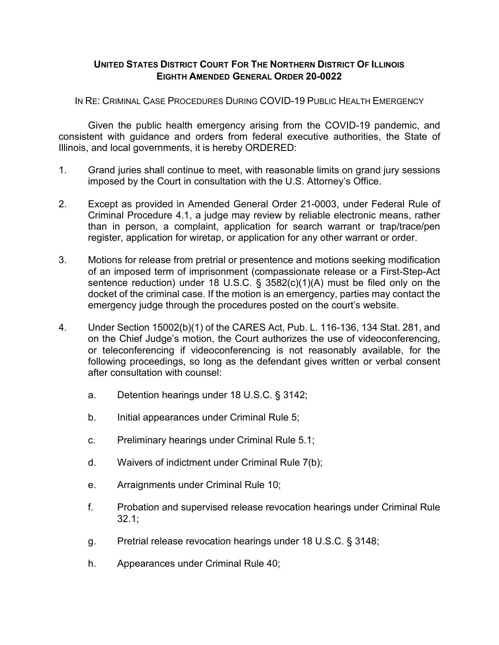## **UNITED STATES DISTRICT COURT FOR THE NORTHERN DISTRICT OF ILLINOIS EIGHTH AMENDED GENERAL ORDER 20-0022**

IN RE: CRIMINAL CASE PROCEDURES DURING COVID-19 PUBLIC HEALTH EMERGENCY

Given the public health emergency arising from the COVID-19 pandemic, and consistent with guidance and orders from federal executive authorities, the State of Illinois, and local governments, it is hereby ORDERED:

- 1. Grand juries shall continue to meet, with reasonable limits on grand jury sessions imposed by the Court in consultation with the U.S. Attorney's Office.
- 2. Except as provided in Amended General Order 21-0003, under Federal Rule of Criminal Procedure 4.1, a judge may review by reliable electronic means, rather than in person, a complaint, application for search warrant or trap/trace/pen register, application for wiretap, or application for any other warrant or order.
- 3. Motions for release from pretrial or presentence and motions seeking modification of an imposed term of imprisonment (compassionate release or a First-Step-Act sentence reduction) under 18 U.S.C. § 3582(c)(1)(A) must be filed only on the docket of the criminal case. If the motion is an emergency, parties may contact the emergency judge through the procedures posted on the court's website.
- 4. Under Section 15002(b)(1) of the CARES Act, Pub. L. 116-136, 134 Stat. 281, and on the Chief Judge's motion, the Court authorizes the use of videoconferencing, or teleconferencing if videoconferencing is not reasonably available, for the following proceedings, so long as the defendant gives written or verbal consent after consultation with counsel:
	- a. Detention hearings under 18 U.S.C. § 3142;
	- b. Initial appearances under Criminal Rule 5;
	- c. Preliminary hearings under Criminal Rule 5.1;
	- d. Waivers of indictment under Criminal Rule 7(b);
	- e. Arraignments under Criminal Rule 10;
	- f. Probation and supervised release revocation hearings under Criminal Rule 32.1;
	- g. Pretrial release revocation hearings under 18 U.S.C. § 3148;
	- h. Appearances under Criminal Rule 40;